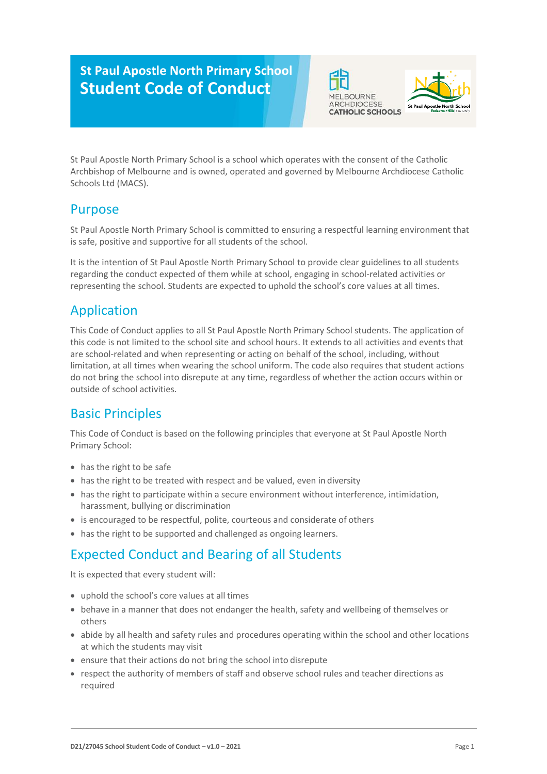# **St Paul Apostle North Primary School Student Code of Conduct**





St Paul Apostle North Primary School is a school which operates with the consent of the Catholic Archbishop of Melbourne and is owned, operated and governed by Melbourne Archdiocese Catholic Schools Ltd (MACS).

### Purpose

St Paul Apostle North Primary School is committed to ensuring a respectful learning environment that is safe, positive and supportive for all students of the school.

It is the intention of St Paul Apostle North Primary School to provide clear guidelines to all students regarding the conduct expected of them while at school, engaging in school-related activities or representing the school. Students are expected to uphold the school's core values at all times.

# Application

This Code of Conduct applies to all St Paul Apostle North Primary School students. The application of this code is not limited to the school site and school hours. It extends to all activities and events that are school-related and when representing or acting on behalf of the school, including, without limitation, at all times when wearing the school uniform. The code also requires that student actions do not bring the school into disrepute at any time, regardless of whether the action occurs within or outside of school activities.

### Basic Principles

This Code of Conduct is based on the following principles that everyone at St Paul Apostle North Primary School:

- has the right to be safe
- has the right to be treated with respect and be valued, even in diversity
- has the right to participate within a secure environment without interference, intimidation, harassment, bullying or discrimination
- is encouraged to be respectful, polite, courteous and considerate of others
- has the right to be supported and challenged as ongoing learners.

### Expected Conduct and Bearing of all Students

It is expected that every student will:

- uphold the school's core values at all times
- behave in a manner that does not endanger the health, safety and wellbeing of themselves or others
- abide by all health and safety rules and procedures operating within the school and other locations at which the students may visit
- ensure that their actions do not bring the school into disrepute
- respect the authority of members of staff and observe school rules and teacher directions as required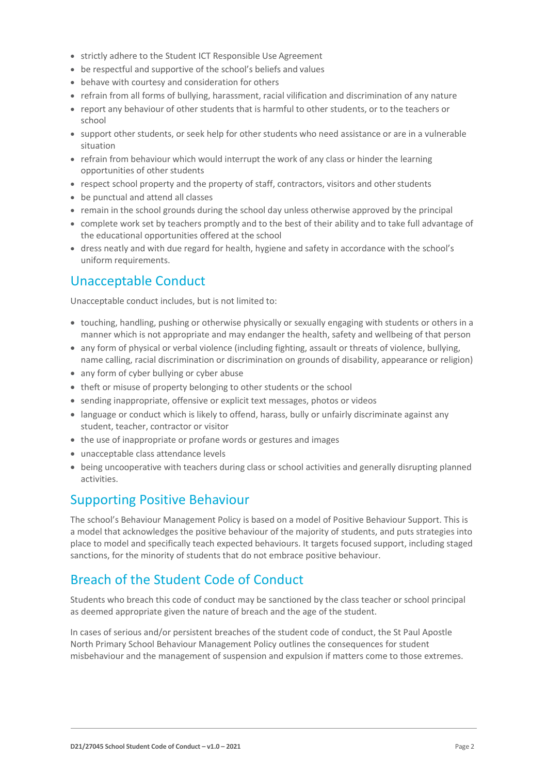- strictly adhere to the Student ICT Responsible Use Agreement
- be respectful and supportive of the school's beliefs and values
- behave with courtesy and consideration for others
- refrain from all forms of bullying, harassment, racial vilification and discrimination of any nature
- report any behaviour of other students that is harmful to other students, or to the teachers or school
- support other students, or seek help for other students who need assistance or are in a vulnerable situation
- refrain from behaviour which would interrupt the work of any class or hinder the learning opportunities of other students
- respect school property and the property of staff, contractors, visitors and other students
- be punctual and attend all classes
- remain in the school grounds during the school day unless otherwise approved by the principal
- complete work set by teachers promptly and to the best of their ability and to take full advantage of the educational opportunities offered at the school
- dress neatly and with due regard for health, hygiene and safety in accordance with the school's uniform requirements.

#### Unacceptable Conduct

Unacceptable conduct includes, but is not limited to:

- touching, handling, pushing or otherwise physically or sexually engaging with students or others in a manner which is not appropriate and may endanger the health, safety and wellbeing of that person
- any form of physical or verbal violence (including fighting, assault or threats of violence, bullying, name calling, racial discrimination or discrimination on grounds of disability, appearance or religion)
- any form of cyber bullying or cyber abuse
- theft or misuse of property belonging to other students or the school
- sending inappropriate, offensive or explicit text messages, photos or videos
- language or conduct which is likely to offend, harass, bully or unfairly discriminate against any student, teacher, contractor or visitor
- the use of inappropriate or profane words or gestures and images
- unacceptable class attendance levels
- being uncooperative with teachers during class or school activities and generally disrupting planned activities.

#### Supporting Positive Behaviour

The school's Behaviour Management Policy is based on a model of Positive Behaviour Support. This is a model that acknowledges the positive behaviour of the majority of students, and puts strategies into place to model and specifically teach expected behaviours. It targets focused support, including staged sanctions, for the minority of students that do not embrace positive behaviour.

### Breach of the Student Code of Conduct

Students who breach this code of conduct may be sanctioned by the class teacher or school principal as deemed appropriate given the nature of breach and the age of the student.

In cases of serious and/or persistent breaches of the student code of conduct, the St Paul Apostle North Primary School Behaviour Management Policy outlines the consequences for student misbehaviour and the management of suspension and expulsion if matters come to those extremes.